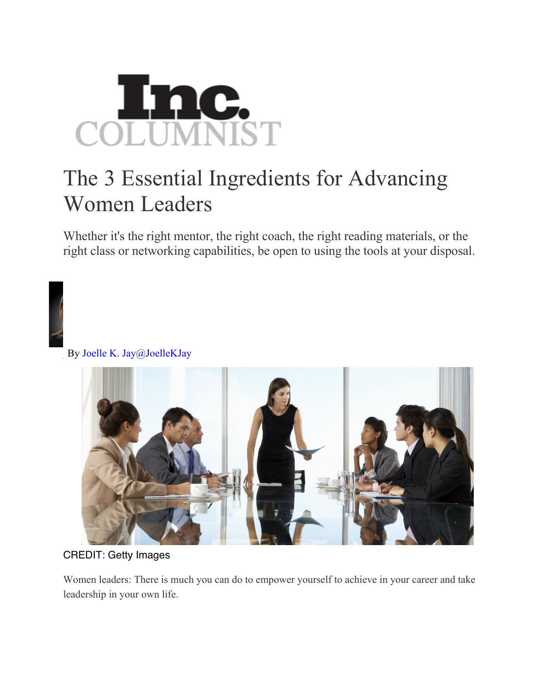

## The 3 Essential Ingredients for Advancing Women Leaders

Whether it's the right mentor, the right coach, the right reading materials, or the right class or networking capabilities, be open to using the tools at your disposal.



By Joelle K. Jay@JoelleKJay



CREDIT: Getty Images

Women leaders: There is much you can do to empower yourself to achieve in your career and take leadership in your own life.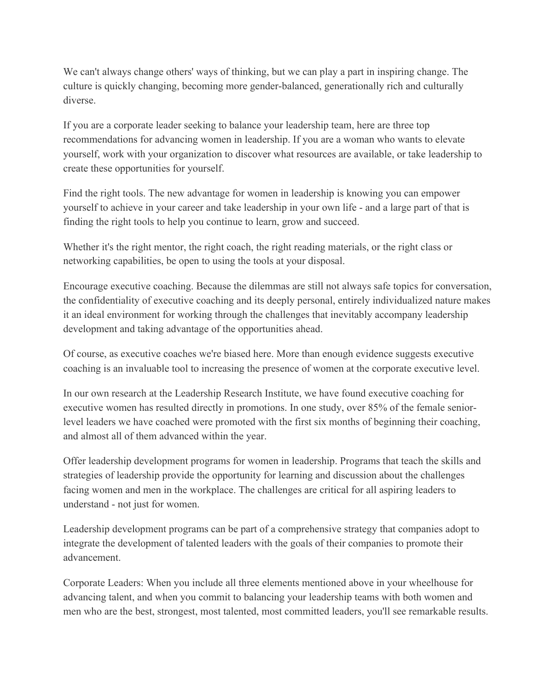We can't always change others' ways of thinking, but we can play a part in inspiring change. The culture is quickly changing, becoming more gender-balanced, generationally rich and culturally diverse.

If you are a corporate leader seeking to balance your leadership team, here are three top recommendations for advancing women in leadership. If you are a woman who wants to elevate yourself, work with your organization to discover what resources are available, or take leadership to create these opportunities for yourself.

Find the right tools. The new advantage for women in leadership is knowing you can empower yourself to achieve in your career and take leadership in your own life - and a large part of that is finding the right tools to help you continue to learn, grow and succeed.

Whether it's the right mentor, the right coach, the right reading materials, or the right class or networking capabilities, be open to using the tools at your disposal.

Encourage executive coaching. Because the dilemmas are still not always safe topics for conversation, the confidentiality of executive coaching and its deeply personal, entirely individualized nature makes it an ideal environment for working through the challenges that inevitably accompany leadership development and taking advantage of the opportunities ahead.

Of course, as executive coaches we're biased here. More than enough evidence suggests executive coaching is an invaluable tool to increasing the presence of women at the corporate executive level.

In our own research at the Leadership Research Institute, we have found executive coaching for executive women has resulted directly in promotions. In one study, over 85% of the female seniorlevel leaders we have coached were promoted with the first six months of beginning their coaching, and almost all of them advanced within the year.

Offer leadership development programs for women in leadership. Programs that teach the skills and strategies of leadership provide the opportunity for learning and discussion about the challenges facing women and men in the workplace. The challenges are critical for all aspiring leaders to understand - not just for women.

Leadership development programs can be part of a comprehensive strategy that companies adopt to integrate the development of talented leaders with the goals of their companies to promote their advancement.

Corporate Leaders: When you include all three elements mentioned above in your wheelhouse for advancing talent, and when you commit to balancing your leadership teams with both women and men who are the best, strongest, most talented, most committed leaders, you'll see remarkable results.